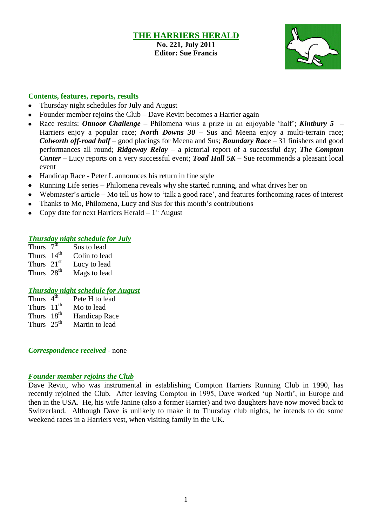#### **THE HARRIERS HERALD No. 221, July 2011 Editor: Sue Francis**



#### **Contents, features, reports, results**

- Thursday night schedules for July and August
- Founder member rejoins the Club Dave Revitt becomes a Harrier again
- Race results: *Otmoor Challenge* Philomena wins a prize in an enjoyable "half"; *Kintbury 5*   $\bullet$ Harriers enjoy a popular race; *North Downs 30* – Sus and Meena enjoy a multi-terrain race; *Colworth off-road half* – good placings for Meena and Sus; *Boundary Race* – 31 finishers and good performances all round; *Ridgeway Relay* – a pictorial report of a successful day; *The Compton Canter* – Lucy reports on a very successful event; *Toad Hall 5K –* Sue recommends a pleasant local event
- Handicap Race Peter L announces his return in fine style  $\bullet$
- Running Life series Philomena reveals why she started running, and what drives her on  $\bullet$
- Webmaster's article Mo tell us how to 'talk a good race', and features forthcoming races of interest
- Thanks to Mo, Philomena, Lucy and Sus for this month"s contributions
- Copy date for next Harriers Herald  $-1<sup>st</sup>$  August

#### *Thursday night schedule for July*

Thurs  $7<sup>th</sup>$ Sus to lead Thurs 14<sup>th</sup> Colin to lead Thurs  $21<sup>st</sup>$  Lucy to lead Thurs  $28<sup>th</sup>$  Mags to lead

#### *Thursday night schedule for August*

| Thurs $4^{th}$         | Pete H to lead       |
|------------------------|----------------------|
| Thurs $11th$           | Mo to lead           |
| Thurs 18 <sup>th</sup> | <b>Handicap Race</b> |
| Thurs $25^{\text{th}}$ | Martin to lead       |

*Correspondence received* - none

#### *Founder member rejoins the Club*

Dave Revitt, who was instrumental in establishing Compton Harriers Running Club in 1990, has recently rejoined the Club. After leaving Compton in 1995, Dave worked "up North", in Europe and then in the USA. He, his wife Janine (also a former Harrier) and two daughters have now moved back to Switzerland. Although Dave is unlikely to make it to Thursday club nights, he intends to do some weekend races in a Harriers vest, when visiting family in the UK.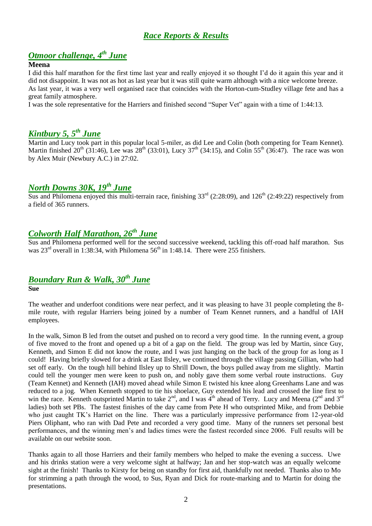## *Race Reports & Results*

## *Otmoor challenge, 4 th June*

#### **Meena**

I did this half marathon for the first time last year and really enjoyed it so thought I"d do it again this year and it did not disappoint. It was not as hot as last year but it was still quite warm although with a nice welcome breeze. As last year, it was a very well organised race that coincides with the Horton-cum-Studley village fete and has a great family atmosphere.

I was the sole representative for the Harriers and finished second "Super Vet" again with a time of 1:44:13.

## *Kintbury 5, 5 th June*

Martin and Lucy took part in this popular local 5-miler, as did Lee and Colin (both competing for Team Kennet). Martin finished  $20^{th}$  (31:46), Lee was  $28^{th}$  (33:01), Lucy 37<sup>th</sup> (34:15), and Colin 55<sup>th</sup> (36:47). The race was won by Alex Muir (Newbury A.C.) in 27:02.

## *North Downs 30K, 19th June*

Sus and Philomena enjoyed this multi-terrain race, finishing  $33<sup>rd</sup>$  (2:28:09), and 126<sup>th</sup> (2:49:22) respectively from a field of 365 runners.

## *Colworth Half Marathon, 26th June*

Sus and Philomena performed well for the second successive weekend, tackling this off-road half marathon. Sus was  $23<sup>rd</sup>$  overall in 1:38:34, with Philomena 56<sup>th</sup> in 1:48.14. There were 255 finishers.

## *Boundary Run & Walk, 30th June*

#### **Sue**

The weather and underfoot conditions were near perfect, and it was pleasing to have 31 people completing the 8 mile route, with regular Harriers being joined by a number of Team Kennet runners, and a handful of IAH employees.

In the walk, Simon B led from the outset and pushed on to record a very good time. In the running event, a group of five moved to the front and opened up a bit of a gap on the field. The group was led by Martin, since Guy, Kenneth, and Simon E did not know the route, and I was just hanging on the back of the group for as long as I could! Having briefly slowed for a drink at East Ilsley, we continued through the village passing Gillian, who had set off early. On the tough hill behind Ilsley up to Shrill Down, the boys pulled away from me slightly. Martin could tell the younger men were keen to push on, and nobly gave them some verbal route instructions. Guy (Team Kennet) and Kenneth (IAH) moved ahead while Simon E twisted his knee along Greenhams Lane and was reduced to a jog. When Kenneth stopped to tie his shoelace, Guy extended his lead and crossed the line first to win the race. Kenneth outsprinted Martin to take 2<sup>nd</sup>, and I was 4<sup>th</sup> ahead of Terry. Lucy and Meena (2<sup>nd</sup> and 3<sup>rd</sup> ladies) both set PBs. The fastest finishes of the day came from Pete H who outsprinted Mike, and from Debbie who just caught TK's Harriet on the line. There was a particularly impressive performance from 12-year-old Piers Oliphant, who ran with Dad Pete and recorded a very good time. Many of the runners set personal best performances, and the winning men"s and ladies times were the fastest recorded since 2006. Full results will be available on our website soon.

Thanks again to all those Harriers and their family members who helped to make the evening a success. Uwe and his drinks station were a very welcome sight at halfway; Jan and her stop-watch was an equally welcome sight at the finish! Thanks to Kirsty for being on standby for first aid, thankfully not needed. Thanks also to Mo for strimming a path through the wood, to Sus, Ryan and Dick for route-marking and to Martin for doing the presentations.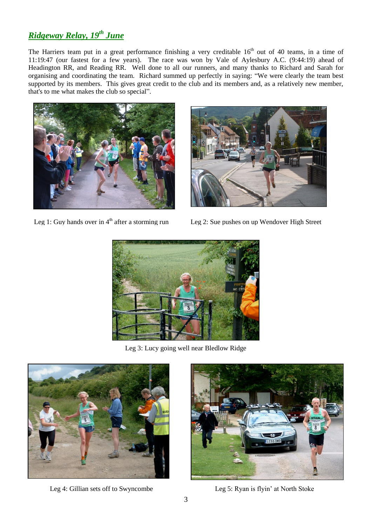# *Ridgeway Relay, 19th June*

The Harriers team put in a great performance finishing a very creditable  $16<sup>th</sup>$  out of 40 teams, in a time of 11:19:47 (our fastest for a few years). The race was won by Vale of Aylesbury A.C. (9:44:19) ahead of Headington RR, and Reading RR. Well done to all our runners, and many thanks to Richard and Sarah for organising and coordinating the team. Richard summed up perfectly in saying: "We were clearly the team best supported by its members. This gives great credit to the club and its members and, as a relatively new member, that's to me what makes the club so special".



Leg 1: Guy hands over in  $4<sup>th</sup>$  after a storming run Leg 2: Sue pushes on up Wendover High Street





Leg 3: Lucy going well near Bledlow Ridge



Leg 4: Gillian sets off to Swyncombe Leg 5: Ryan is flyin' at North Stoke

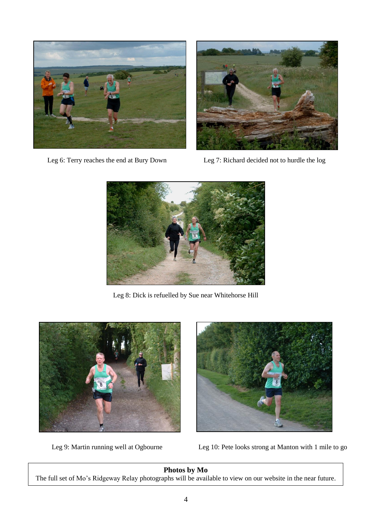



Leg 6: Terry reaches the end at Bury Down Leg 7: Richard decided not to hurdle the log



Leg 8: Dick is refuelled by Sue near Whitehorse Hill





Leg 9: Martin running well at Ogbourne Leg 10: Pete looks strong at Manton with 1 mile to go

#### **Photos by Mo**

The full set of Mo"s Ridgeway Relay photographs will be available to view on our website in the near future.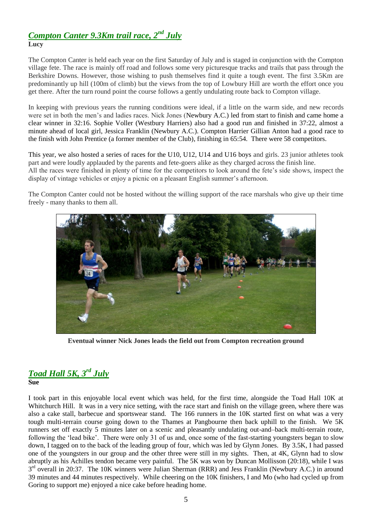#### *Compton Canter 9.3Km trail race, 2 nd July* **Lucy**

The Compton Canter is held each year on the first Saturday of July and is staged in conjunction with the Compton village fete. The race is mainly off road and follows some very picturesque tracks and trails that pass through the Berkshire Downs. However, those wishing to push themselves find it quite a tough event. The first 3.5Km are predominantly up hill (100m of climb) but the views from the top of Lowbury Hill are worth the effort once you get there. After the turn round point the course follows a gently undulating route back to Compton village.

In keeping with previous years the running conditions were ideal, if a little on the warm side, and new records were set in both the men"s and ladies races. Nick Jones (Newbury A.C.) led from start to finish and came home a clear winner in 32:16. Sophie Voller (Westbury Harriers) also had a good run and finished in 37:22, almost a minute ahead of local girl, Jessica Franklin (Newbury A.C.). Compton Harrier Gillian Anton had a good race to the finish with John Prentice (a former member of the Club), finishing in 65:54. There were 58 competitors.

This year, we also hosted a series of races for the U10, U12, U14 and U16 boys and girls. 23 junior athletes took part and were loudly applauded by the parents and fete-goers alike as they charged across the finish line. All the races were finished in plenty of time for the competitors to look around the fete's side shows, inspect the display of vintage vehicles or enjoy a picnic on a pleasant English summer"s afternoon.

The Compton Canter could not be hosted without the willing support of the race marshals who give up their time freely - many thanks to them all.



**Eventual winner Nick Jones leads the field out from Compton recreation ground**

#### *Toad Hall 5K, 3rd July* **Sue**

I took part in this enjoyable local event which was held, for the first time, alongside the Toad Hall 10K at Whitchurch Hill. It was in a very nice setting, with the race start and finish on the village green, where there was also a cake stall, barbecue and sportswear stand. The 166 runners in the 10K started first on what was a very tough multi-terrain course going down to the Thames at Pangbourne then back uphill to the finish. We 5K runners set off exactly 5 minutes later on a scenic and pleasantly undulating out-and–back multi-terrain route, following the "lead bike". There were only 31 of us and, once some of the fast-starting youngsters began to slow down, I tagged on to the back of the leading group of four, which was led by Glynn Jones. By 3.5K, I had passed one of the youngsters in our group and the other three were still in my sights. Then, at 4K, Glynn had to slow abruptly as his Achilles tendon became very painful. The 5K was won by Duncan Mollisson (20:18), while I was 3<sup>rd</sup> overall in 20:37. The 10K winners were Julian Sherman (RRR) and Jess Franklin (Newbury A.C.) in around 39 minutes and 44 minutes respectively. While cheering on the 10K finishers, I and Mo (who had cycled up from Goring to support me) enjoyed a nice cake before heading home.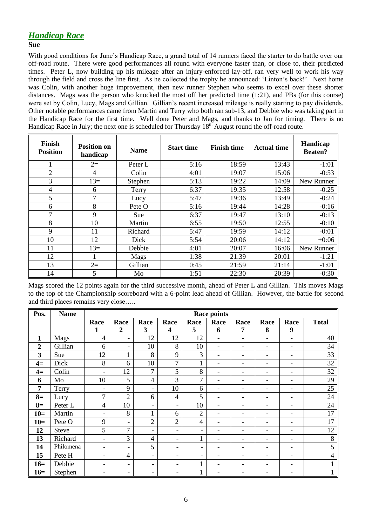## *Handicap Race*

#### **Sue**

With good conditions for June's Handicap Race, a grand total of 14 runners faced the starter to do battle over our off-road route. There were good performances all round with everyone faster than, or close to, their predicted times. Peter L, now building up his mileage after an injury-enforced lay-off, ran very well to work his way through the field and cross the line first. As he collected the trophy he announced: "Linton"s back!". Next home was Colin, with another huge improvement, then new runner Stephen who seems to excel over these shorter distances. Mags was the person who knocked the most off her predicted time (1:21), and PBs (for this course) were set by Colin, Lucy, Mags and Gillian. Gillian"s recent increased mileage is really starting to pay dividends. Other notable performances came from Martin and Terry who both ran sub-13, and Debbie who was taking part in the Handicap Race for the first time. Well done Peter and Mags, and thanks to Jan for timing. There is no Handicap Race in July; the next one is scheduled for Thursday 18<sup>th</sup> August round the off-road route.

| Finish<br><b>Position</b> | <b>Position on</b><br>handicap | <b>Name</b> | <b>Start time</b> | <b>Finish time</b> | <b>Actual time</b> | Handicap<br><b>Beaten?</b> |
|---------------------------|--------------------------------|-------------|-------------------|--------------------|--------------------|----------------------------|
|                           | $2=$                           | Peter L     | 5:16              | 18:59              | 13:43              | $-1:01$                    |
| $\overline{2}$            | 4                              | Colin       | 4:01              | 19:07              | 15:06              | $-0:53$                    |
| 3                         | $13=$                          | Stephen     | 5:13              | 19:22              | 14:09              | New Runner                 |
| 4                         | 6                              | Terry       | 6:37              | 19:35              | 12:58              | $-0:25$                    |
| 5                         | 7                              | Lucy        | 5:47              | 19:36              | 13:49              | $-0:24$                    |
| 6                         | 8                              | Pete O      | 5:16              | 19:44              | 14:28              | $-0:16$                    |
| 7                         | 9                              | <b>Sue</b>  | 6:37              | 19:47              | 13:10              | $-0:13$                    |
| 8                         | 10                             | Martin      | 6:55              | 19:50              | 12:55              | $-0:10$                    |
| 9                         | 11                             | Richard     | 5:47              | 19:59              | 14:12              | $-0:01$                    |
| 10                        | 12                             | Dick        | 5:54              | 20:06              | 14:12              | $+0:06$                    |
| 11                        | $13=$                          | Debbie      | 4:01              | 20:07              | 16:06              | New Runner                 |
| 12                        |                                | Mags        | 1:38              | 21:39              | 20:01              | $-1:21$                    |
| 13                        | $2=$                           | Gillian     | 0:45              | 21:59              | 21:14              | $-1:01$                    |
| 14                        | 5                              | Mo          | 1:51              | 22:30              | 20:39              | $-0:30$                    |

Mags scored the 12 points again for the third successive month, ahead of Peter L and Gillian. This moves Mags to the top of the Championship scoreboard with a 6-point lead ahead of Gillian. However, the battle for second and third places remains very close…..

| Pos.           | <b>Name</b>  | <b>Race points</b>       |                          |                          |                          |                          |                              |                              |                          |                              |              |
|----------------|--------------|--------------------------|--------------------------|--------------------------|--------------------------|--------------------------|------------------------------|------------------------------|--------------------------|------------------------------|--------------|
|                |              | Race                     | Race                     | Race                     | Race                     | Race                     | Race                         | Race                         | Race                     | Race                         | <b>Total</b> |
|                |              | 1                        | $\boldsymbol{2}$         | 3                        | 4                        | 5                        | 6                            | 7                            | 8                        | 9                            |              |
| $\mathbf{1}$   | Mags         | $\overline{4}$           | $\overline{\phantom{a}}$ | 12                       | 12                       | 12                       | -                            | $\overline{\phantom{0}}$     | $\overline{\phantom{a}}$ | $\qquad \qquad \blacksquare$ | 40           |
| $\overline{2}$ | Gillian      | 6                        | $\overline{\phantom{a}}$ | 10                       | 8                        | 10                       | -                            | $\overline{\phantom{0}}$     | $\overline{\phantom{a}}$ | $\qquad \qquad \blacksquare$ | 34           |
| 3              | Sue          | 12                       | $\mathbf{1}$             | 8                        | 9                        | 3                        | $\overline{\phantom{0}}$     | $\qquad \qquad \blacksquare$ | $\overline{\phantom{a}}$ | $\qquad \qquad \blacksquare$ | 33           |
| $4=$           | Dick         | 8                        | 6                        | 10                       | $\overline{7}$           | $\mathbf{1}$             | $\overline{\phantom{0}}$     | -                            | $\overline{\phantom{a}}$ | $\qquad \qquad \blacksquare$ | 32           |
| $4=$           | Colin        | $\overline{\phantom{a}}$ | 12                       | $\overline{7}$           | 5                        | 8                        | $\overline{\phantom{0}}$     | -                            | $\overline{\phantom{0}}$ | $\qquad \qquad \blacksquare$ | 32           |
| 6              | Mo           | 10                       | 5                        | $\overline{4}$           | 3                        | 7                        | -                            | -                            | ۰                        | $\qquad \qquad \blacksquare$ | 29           |
| 7              | Terry        | $\overline{\phantom{a}}$ | 9                        | $\overline{\phantom{a}}$ | 10                       | 6                        | $\overline{\phantom{0}}$     | -                            | $\overline{\phantom{a}}$ | $\qquad \qquad \blacksquare$ | 25           |
| $8=$           | Lucy         | $\overline{7}$           | $\overline{2}$           | 6                        | 4                        | 5                        | -                            | $\overline{\phantom{0}}$     | $\overline{\phantom{a}}$ | $\qquad \qquad \blacksquare$ | 24           |
| $8=$           | Peter L      | $\overline{4}$           | 10                       | $\overline{\phantom{a}}$ | $\overline{\phantom{0}}$ | 10                       | -                            | -                            | $\overline{\phantom{a}}$ | $\qquad \qquad \blacksquare$ | 24           |
| $10=$          | Martin       | $\overline{\phantom{a}}$ | 8                        | 1                        | 6                        | $\overline{2}$           | $\overline{\phantom{0}}$     | -                            | $\overline{\phantom{a}}$ | $\qquad \qquad \blacksquare$ | 17           |
| $10=$          | Pete O       | 9                        | $\overline{\phantom{a}}$ | $\overline{2}$           | $\overline{2}$           | 4                        | $\overline{\phantom{0}}$     | -                            | $\overline{\phantom{a}}$ | -                            | 17           |
| 12             | <b>Steve</b> | 5                        | 7                        | $\overline{\phantom{a}}$ | $\overline{\phantom{0}}$ | $\overline{\phantom{0}}$ | $\qquad \qquad \blacksquare$ | -                            | ۰                        | $\qquad \qquad \blacksquare$ | 12           |
| 13             | Richard      | $\overline{\phantom{a}}$ | 3                        | $\overline{4}$           | $\overline{\phantom{0}}$ | $\mathbf{1}$             | -                            | $\qquad \qquad \blacksquare$ | $\overline{\phantom{a}}$ | $\qquad \qquad \blacksquare$ | 8            |
| 14             | Philomena    | $\overline{\phantom{a}}$ | $\overline{\phantom{0}}$ | 5                        | $\overline{\phantom{0}}$ | $\overline{\phantom{0}}$ | -                            | -                            | $\overline{\phantom{a}}$ | $\qquad \qquad \blacksquare$ | 5            |
| 15             | Pete H       | $\overline{\phantom{a}}$ | $\overline{4}$           | $\overline{\phantom{a}}$ | $\overline{\phantom{0}}$ | Ξ.                       | $\overline{\phantom{0}}$     | -                            | $\overline{\phantom{a}}$ | $\qquad \qquad \blacksquare$ | 4            |
| $16=$          | Debbie       | $\overline{\phantom{a}}$ | $\overline{\phantom{a}}$ | $\overline{\phantom{a}}$ | -                        | $\mathbf{1}$             | $\overline{\phantom{0}}$     | -                            | $\overline{\phantom{a}}$ | $\qquad \qquad \blacksquare$ |              |
| $16=$          | Stephen      | $\overline{\phantom{a}}$ | $\overline{\phantom{a}}$ | $\overline{\phantom{a}}$ | -                        | -1                       | -                            |                              | $\overline{\phantom{a}}$ | -                            |              |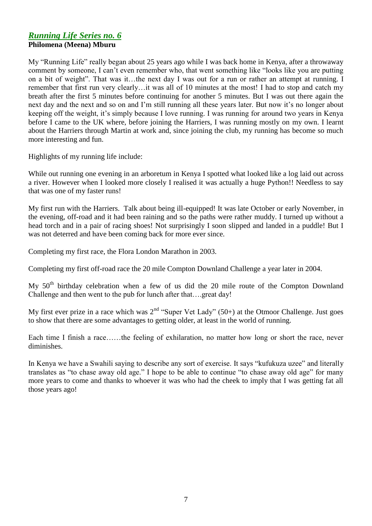#### *Running Life Series no. 6* **Philomena (Meena) Mburu**

My "Running Life" really began about 25 years ago while I was back home in Kenya, after a throwaway comment by someone, I can"t even remember who, that went something like "looks like you are putting on a bit of weight". That was it…the next day I was out for a run or rather an attempt at running. I remember that first run very clearly…it was all of 10 minutes at the most! I had to stop and catch my breath after the first 5 minutes before continuing for another 5 minutes. But I was out there again the next day and the next and so on and I'm still running all these years later. But now it's no longer about keeping off the weight, it"s simply because I love running. I was running for around two years in Kenya before I came to the UK where, before joining the Harriers, I was running mostly on my own. I learnt about the Harriers through Martin at work and, since joining the club, my running has become so much more interesting and fun.

Highlights of my running life include:

While out running one evening in an arboretum in Kenya I spotted what looked like a log laid out across a river. However when I looked more closely I realised it was actually a huge Python!! Needless to say that was one of my faster runs!

My first run with the Harriers. Talk about being ill-equipped! It was late October or early November, in the evening, off-road and it had been raining and so the paths were rather muddy. I turned up without a head torch and in a pair of racing shoes! Not surprisingly I soon slipped and landed in a puddle! But I was not deterred and have been coming back for more ever since.

Completing my first race, the Flora London Marathon in 2003.

Completing my first off-road race the 20 mile Compton Downland Challenge a year later in 2004.

My 50th birthday celebration when a few of us did the 20 mile route of the Compton Downland Challenge and then went to the pub for lunch after that….great day!

My first ever prize in a race which was  $2^{nd}$  "Super Vet Lady" (50+) at the Otmoor Challenge. Just goes to show that there are some advantages to getting older, at least in the world of running.

Each time I finish a race……the feeling of exhilaration, no matter how long or short the race, never diminishes.

In Kenya we have a Swahili saying to describe any sort of exercise. It says "kufukuza uzee" and literally translates as "to chase away old age." I hope to be able to continue "to chase away old age" for many more years to come and thanks to whoever it was who had the cheek to imply that I was getting fat all those years ago!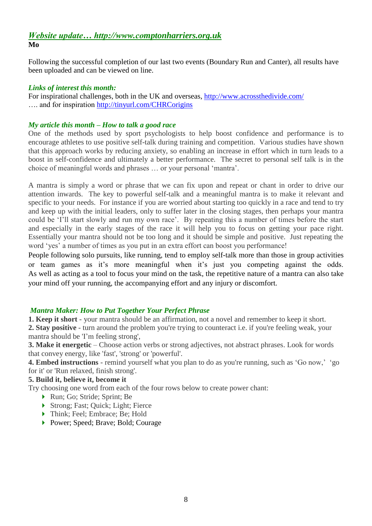## *Website update… http://www.comptonharriers.org.uk* **Mo**

Following the successful completion of our last two events (Boundary Run and Canter), all results have been uploaded and can be viewed on line.

#### *Links of interest this month:*

For inspirational challenges, both in the UK and overseas,<http://www.acrossthedivide.com/> .... and for inspiration<http://tinyurl.com/CHRCorigins>

#### *My article this month – How to talk a good race*

One of the methods used by sport psychologists to help boost confidence and performance is to encourage athletes to use positive self-talk during training and competition. Various studies have shown that this approach works by reducing anxiety, so enabling an increase in effort which in turn leads to a boost in self-confidence and ultimately a better performance. The secret to personal self talk is in the choice of meaningful words and phrases … or your personal "mantra".

A mantra is simply a word or phrase that we can fix upon and repeat or chant in order to drive our attention inwards. The key to powerful self-talk and a meaningful mantra is to make it relevant and specific to your needs. For instance if you are worried about starting too quickly in a race and tend to try and keep up with the initial leaders, only to suffer later in the closing stages, then perhaps your mantra could be 'I'll start slowly and run my own race'. By repeating this a number of times before the start and especially in the early stages of the race it will help you to focus on getting your pace right. Essentially your mantra should not be too long and it should be simple and positive. Just repeating the word 'yes' a number of times as you put in an extra effort can boost you performance!

People following solo pursuits, like running, tend to employ self-talk more than those in group activities or team games as it's more meaningful when it's just you competing against the odds. As well as acting as a tool to focus your mind on the task, the repetitive nature of a mantra can also take your mind off your running, the accompanying effort and any injury or discomfort.

#### *Mantra Maker: How to Put Together Your Perfect Phrase*

**1. Keep it short** - your mantra should be an affirmation, not a novel and remember to keep it short. **2. Stay positive** - turn around the problem you're trying to counteract i.e. if you're feeling weak, your mantra should be 'I"m feeling strong',

**3. Make it energetic** – Choose action verbs or strong adjectives, not abstract phrases. Look for words that convey energy, like 'fast', 'strong' or 'powerful'.

**4. Embed instructions** - remind yourself what you plan to do as you're running, such as 'Go now,' 'go for it' or 'Run relaxed, finish strong'.

### **5. Build it, believe it, become it**

Try choosing one word from each of the four rows below to create power chant:

- ▶ Run; Go; Stride; Sprint; Be
- ▶ Strong; Fast; Quick; Light; Fierce
- ▶ Think; Feel; Embrace; Be; Hold
- ▶ Power; Speed; Brave; Bold; Courage